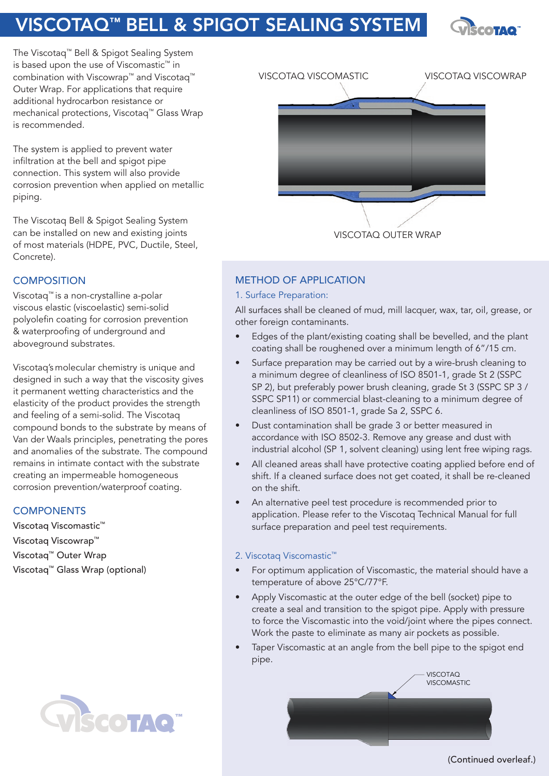# VISCOTAQ™ BELL & SPIGOT SEALING SYSTEM



The Viscotaq™ Bell & Spigot Sealing System is based upon the use of Viscomastic™ in combination with Viscowrap™ and Viscotaq™ Outer Wrap. For applications that require additional hydrocarbon resistance or mechanical protections, Viscotaq™ Glass Wrap is recommended.

The system is applied to prevent water infiltration at the bell and spigot pipe connection. This system will also provide corrosion prevention when applied on metallic piping.

The Viscotaq Bell & Spigot Sealing System can be installed on new and existing joints of most materials (HDPE, PVC, Ductile, Steel, Concrete).

## **COMPOSITION**

Viscotaq™ is a non-crystalline a-polar viscous elastic (viscoelastic) semi-solid polyolefin coating for corrosion prevention & waterproofing of underground and aboveground substrates.

Viscotaq's molecular chemistry is unique and designed in such a way that the viscosity gives it permanent wetting characteristics and the elasticity of the product provides the strength and feeling of a semi-solid. The Viscotaq compound bonds to the substrate by means of Van der Waals principles, penetrating the pores and anomalies of the substrate. The compound remains in intimate contact with the substrate creating an impermeable homogeneous corrosion prevention/waterproof coating.

## **COMPONENTS**

Viscotaq Viscomastic™ Viscotaq Viscowrap™ Viscotaq™ Outer Wrap Viscotaq™ Glass Wrap (optional)





## METHOD OF APPLICATION

### 1. Surface Preparation:

All surfaces shall be cleaned of mud, mill lacquer, wax, tar, oil, grease, or other foreign contaminants.

- Edges of the plant/existing coating shall be bevelled, and the plant coating shall be roughened over a minimum length of 6"/15 cm.
- Surface preparation may be carried out by a wire-brush cleaning to a minimum degree of cleanliness of ISO 8501-1, grade St 2 (SSPC SP 2), but preferably power brush cleaning, grade St 3 (SSPC SP 3 / SSPC SP11) or commercial blast-cleaning to a minimum degree of cleanliness of ISO 8501-1, grade Sa 2, SSPC 6.
- Dust contamination shall be grade 3 or better measured in accordance with ISO 8502-3. Remove any grease and dust with industrial alcohol (SP 1, solvent cleaning) using lent free wiping rags.
- All cleaned areas shall have protective coating applied before end of shift. If a cleaned surface does not get coated, it shall be re-cleaned on the shift.
- An alternative peel test procedure is recommended prior to application. Please refer to the Viscotaq Technical Manual for full surface preparation and peel test requirements.

### 2. Viscotaq Viscomastic™

- For optimum application of Viscomastic, the material should have a temperature of above 25°C/77°F.
- Apply Viscomastic at the outer edge of the bell (socket) pipe to create a seal and transition to the spigot pipe. Apply with pressure to force the Viscomastic into the void/joint where the pipes connect. Work the paste to eliminate as many air pockets as possible.
- Taper Viscomastic at an angle from the bell pipe to the spigot end pipe.